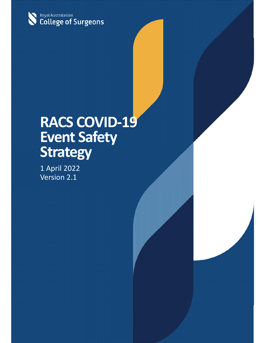

# **RACS COVID‐19 Event Safety Strategy**

1 April 2022 Version 2.1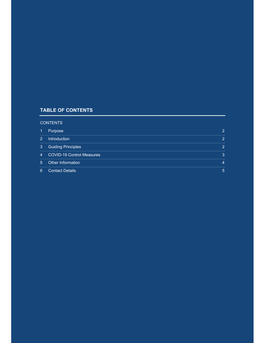### **TABLE OF CONTENTS**

#### **CONTENTS**

| Ŧ               | Purpose                          | $\mathcal{P}$  |
|-----------------|----------------------------------|----------------|
| $\mathcal{P}$   | <b>Introduction</b>              | $\overline{2}$ |
| 3               | <b>Guiding Principles</b>        | $\mathcal{P}$  |
| $\vert 4 \vert$ | <b>COVID-19 Control Measures</b> | 3              |
| $\sqrt{5}$      | Other Information                | 4              |
| 6               | <b>Contact Details</b>           | 5              |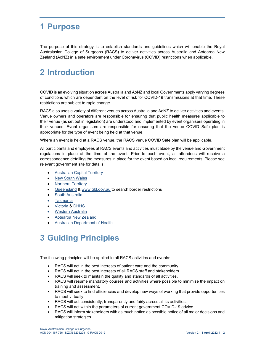### **1 Purpose**

The purpose of this strategy is to establish standards and guidelines which will enable the Royal Australasian College of Surgeons (RACS) to deliver activities across Australia and Aotearoa New Zealand (AoNZ) in a safe environment under Coronavirus (COVID) restrictions when applicable.

### **2 Introduction**

COVID is an evolving situation across Australia and AoNZ and local Governments apply varying degrees of conditions which are dependent on the level of risk for COVID-19 transmissions at that time. These restrictions are subject to rapid change.

RACS also uses a variety of different venues across Australia and AoNZ to deliver activities and events. Venue owners and operators are responsible for ensuring that public health measures applicable to their venue (as set out in legislation) are understood and implemented by event organisers operating in their venues. Event organisers are responsible for ensuring that the venue COVID Safe plan is appropriate for the type of event being held at that venue.

Where an event is held at a RACS venue, the RACS venue COVID Safe plan will be applicable.

All participants and employees at RACS events and activities must abide by the venue and Government regulations in place at the time of the event. Prior to each event, all attendees will receive a correspondence detailing the measures in place for the event based on local requirements. Please see relevant government site for details:

- Australian Capital Territory
- New South Wales
- Northern Territory
- Queensland & www.qld.gov.au to search border restrictions
- South Australia
- Tasmania
- Victoria & DHHS
- Western Australia
- Aotearoa New Zealand
- Australian Department of Health

## **3 Guiding Principles**

The following principles will be applied to all RACS activities and events:

- RACS will act in the best interests of patient care and the community.
- RACS will act in the best interests of all RACS staff and stakeholders.
- RACS will seek to maintain the quality and standards of all activities.
- RACS will resume mandatory courses and activities where possible to minimise the impact on training and assessment.
- RACS will seek to find efficiencies and develop new ways of working that provide opportunities to meet virtually.
- RACS will act consistently, transparently and fairly across all its activities.
- RACS will act within the parameters of current government COVID-19 advice.
- RACS will inform stakeholders with as much notice as possible notice of all major decisions and mitigation strategies.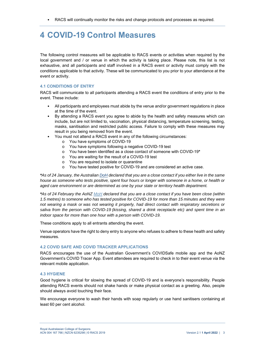• RACS will continually monitor the risks and change protocols and processes as required.

### **4 COVID-19 Control Measures**

The following control measures will be applicable to RACS events or activities when required by the local government and / or venue in which the activity is taking place. Please note, this list is not exhaustive, and all participants and staff involved in a RACS event or activity must comply with the conditions applicable to that activity. These will be communicated to you prior to your attendance at the event or activity.

#### **4.1 CONDITIONS OF ENTRY**

RACS will communicate to all participants attending a RACS event the conditions of entry prior to the event. These include:

- All participants and employees must abide by the venue and/or government regulations in place at the time of the event.
- By attending a RACS event you agree to abide by the health and safety measures which can include, but are not limited to, vaccination, physical distancing, temperature screening, testing, masks, sanitisation and restricted public access. Failure to comply with these measures may result in you being removed from the event.
- You must not attend a RACS event in any of the following circumstances:
	- o You have symptoms of COVID-19
	- o You have symptoms following a negative COVID-19 test
	- o You have been identified as a close contact of someone with COVID-19**\***
	- o You are waiting for the result of a COVID-19 test
	- o You are required to isolate or quarantine
	- o You have tested positive for COVID-19 and are considered an active case.

*\*As of 24 January, the Australian DoH declared that you are a close contact if you either live in the same house as someone who tests positive, spent four hours or longer with someone in a home, or health or aged care environment or are determined as one by your state or territory health department.* 

*\*As of 24 February the AoNZ MoH declared that you are a close contact if you have been close (within 1.5 metres) to someone who has tested positive for COVID-19 for more than 15 minutes and they were not wearing a mask or was not wearing it properly, had direct contact with respiratory secretions or saliva from the person with COVID-19 (kissing, shared a drink receptacle etc) and spent time in an indoor space for more than one hour with a person with COVID-19.* 

These conditions apply to all entrants attending the event.

Venue operators have the right to deny entry to anyone who refuses to adhere to these health and safety measures.

#### **4.2 COVID SAFE AND COVID TRACKER APPLICATIONS**

RACS encourages the use of the Australian Government's COVIDSafe mobile app and the AoNZ Government's COVID Tracer App. Event attendees are required to check in to their event venue via the relevant mobile application.

#### **4.3 HYGIENE**

Good hygiene is critical for slowing the spread of COVID-19 and is everyone's responsibility. People attending RACS events should not shake hands or make physical contact as a greeting. Also, people should always avoid touching their face.

We encourage everyone to wash their hands with soap regularly or use hand sanitisers containing at least 60 per cent alcohol.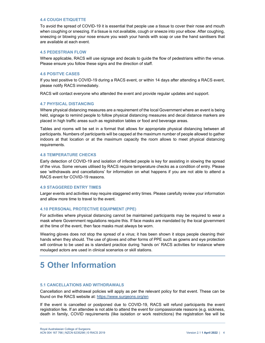#### **4.4 COUGH ETIQUETTE**

To avoid the spread of COVID-19 it is essential that people use a tissue to cover their nose and mouth when coughing or sneezing. If a tissue is not available, cough or sneeze into your elbow. After coughing, sneezing or blowing your nose ensure you wash your hands with soap or use the hand sanitisers that are available at each event.

#### **4.5 PEDESTRIAN FLOW**

Where applicable, RACS will use signage and decals to guide the flow of pedestrians within the venue. Please ensure you follow these signs and the direction of staff.

#### **4.6 POSITVE CASES**

If you test positive to COVID-19 during a RACS event, or within 14 days after attending a RACS event, please notify RACS immediately.

RACS will contact everyone who attended the event and provide regular updates and support.

#### **4.7 PHYSICAL DISTANCING**

Where physical distancing measures are a requirement of the local Government where an event is being held, signage to remind people to follow physical distancing measures and decal distance markers are placed in high traffic areas such as registration tables or food and beverage areas.

Tables and rooms will be set in a format that allows for appropriate physical distancing between all participants. Numbers of participants will be capped at the maximum number of people allowed to gather indoors at that location or at the maximum capacity the room allows to meet physical distancing requirements.

#### **4.8 TEMPERATURE CHECKS**

Early detection of COVID-19 and isolation of infected people is key for assisting in slowing the spread of the virus. Some venues utilised by RACS require temperature checks as a condition of entry. Please see 'withdrawals and cancellations' for information on what happens if you are not able to attend a RACS event for COVID-19 reasons.

#### **4.9 STAGGERED ENTRY TIMES**

Larger events and activities may require staggered entry times. Please carefully review your information and allow more time to travel to the event.

#### **4.10 PERSONAL PROTECTIVE EQUIPMENT (PPE)**

For activities where physical distancing cannot be maintained participants may be required to wear a mask where Government regulations require this. If face masks are mandated by the local government at the time of the event, then face masks must always be worn.

Wearing gloves does not stop the spread of a virus; it has been shown it stops people cleaning their hands when they should. The use of gloves and other forms of PPE such as gowns and eye protection will continue to be used as is standard practice during 'hands on' RACS activities for instance where moulaged actors are used in clinical scenarios or skill stations.

### **5 Other Information**

#### **5.1 CANCELLATIONS AND WITHDRAWALS**

Cancellation and withdrawal policies will apply as per the relevant policy for that event. These can be found on the RACS website at: https://www.surgeons.org/en

If the event is cancelled or postponed due to COVID-19, RACS will refund participants the event registration fee. If an attendee is not able to attend the event for compassionate reasons (e.g. sickness, death in family, COVID requirements (like isolation or work restrictions) the registration fee will be